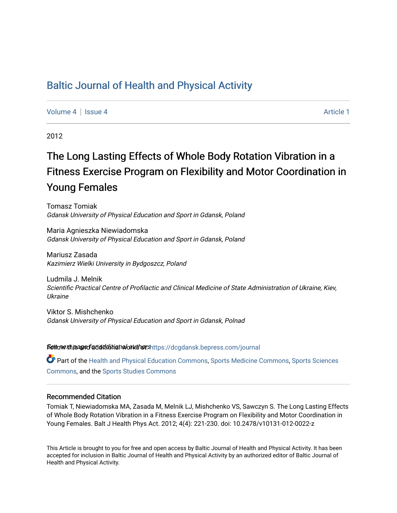# [Baltic Journal of Health and Physical Activity](https://dcgdansk.bepress.com/journal)

[Volume 4](https://dcgdansk.bepress.com/journal/vol4) | [Issue 4](https://dcgdansk.bepress.com/journal/vol4/iss4) Article 1

2012

# The Long Lasting Effects of Whole Body Rotation Vibration in a Fitness Exercise Program on Flexibility and Motor Coordination in Young Females

Tomasz Tomiak Gdansk University of Physical Education and Sport in Gdansk, Poland

Maria Agnieszka Niewiadomska Gdansk University of Physical Education and Sport in Gdansk, Poland

Mariusz Zasada Kazimierz Wielki University in Bydgoszcz, Poland

Ludmila J. Melnik Scientific Practical Centre of Profilactic and Clinical Medicine of State Administration of Ukraine, Kiev, Ukraine

Viktor S. Mishchenko Gdansk University of Physical Education and Sport in Gdansk, Polnad

Settovexthis age of addiditional authors[https://dcgdansk.bepress.com/journal](https://dcgdansk.bepress.com/journal?utm_source=dcgdansk.bepress.com%2Fjournal%2Fvol4%2Fiss4%2F1&utm_medium=PDF&utm_campaign=PDFCoverPages)

Part of the [Health and Physical Education Commons](http://network.bepress.com/hgg/discipline/1327?utm_source=dcgdansk.bepress.com%2Fjournal%2Fvol4%2Fiss4%2F1&utm_medium=PDF&utm_campaign=PDFCoverPages), [Sports Medicine Commons,](http://network.bepress.com/hgg/discipline/1331?utm_source=dcgdansk.bepress.com%2Fjournal%2Fvol4%2Fiss4%2F1&utm_medium=PDF&utm_campaign=PDFCoverPages) [Sports Sciences](http://network.bepress.com/hgg/discipline/759?utm_source=dcgdansk.bepress.com%2Fjournal%2Fvol4%2Fiss4%2F1&utm_medium=PDF&utm_campaign=PDFCoverPages) [Commons](http://network.bepress.com/hgg/discipline/759?utm_source=dcgdansk.bepress.com%2Fjournal%2Fvol4%2Fiss4%2F1&utm_medium=PDF&utm_campaign=PDFCoverPages), and the [Sports Studies Commons](http://network.bepress.com/hgg/discipline/1198?utm_source=dcgdansk.bepress.com%2Fjournal%2Fvol4%2Fiss4%2F1&utm_medium=PDF&utm_campaign=PDFCoverPages) 

#### Recommended Citation

Tomiak T, Niewiadomska MA, Zasada M, Melnik LJ, Mishchenko VS, Sawczyn S. The Long Lasting Effects of Whole Body Rotation Vibration in a Fitness Exercise Program on Flexibility and Motor Coordination in Young Females. Balt J Health Phys Act. 2012; 4(4): 221-230. doi: 10.2478/v10131-012-0022-z

This Article is brought to you for free and open access by Baltic Journal of Health and Physical Activity. It has been accepted for inclusion in Baltic Journal of Health and Physical Activity by an authorized editor of Baltic Journal of Health and Physical Activity.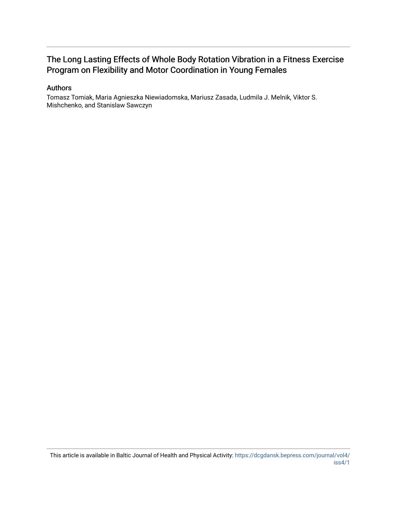# The Long Lasting Effects of Whole Body Rotation Vibration in a Fitness Exercise Program on Flexibility and Motor Coordination in Young Females

# Authors

Tomasz Tomiak, Maria Agnieszka Niewiadomska, Mariusz Zasada, Ludmila J. Melnik, Viktor S. Mishchenko, and Stanislaw Sawczyn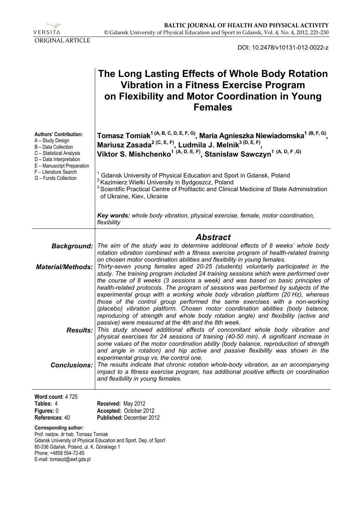

DOI: 10.2478/v10131-012-0022-z

|                                                                                                                                                               | The Long Lasting Effects of Whole Body Rotation<br><b>Vibration in a Fitness Exercise Program</b><br>on Flexibility and Motor Coordination in Young<br><b>Females</b>                                                                                                                                                                                                                                                                                                                                                                                                                                                                                                                                                                                                                                                          |
|---------------------------------------------------------------------------------------------------------------------------------------------------------------|--------------------------------------------------------------------------------------------------------------------------------------------------------------------------------------------------------------------------------------------------------------------------------------------------------------------------------------------------------------------------------------------------------------------------------------------------------------------------------------------------------------------------------------------------------------------------------------------------------------------------------------------------------------------------------------------------------------------------------------------------------------------------------------------------------------------------------|
| <b>Authors' Contribution:</b><br>A – Study Design<br>B - Data Collection<br>C - Statistical Analysis<br>D - Data Interpretation<br>E - Manuscript Preparation | Tomasz Tomiak <sup>1 (A, B, C, D, E, F, G)</sup> , Maria Agnieszka Niewiadomska <sup>1 (B, F, G)</sup> ,<br>Mariusz Zasada <sup>2 (C, E, F)</sup> , Ludmila J. Melnik <sup>3 (D, E, F)</sup> ,<br>Viktor S. Mishchenko <sup>1 (A, D, E, F)</sup> , Stanisław Sawczyn <sup>1 (A, D, F, G)</sup>                                                                                                                                                                                                                                                                                                                                                                                                                                                                                                                                 |
| F - Literature Search<br>G - Funds Collection                                                                                                                 | Gdansk University of Physical Education and Sport in Gdansk, Poland<br><sup>2</sup> Kazimierz Wielki University in Bydgoszcz, Poland<br>Scientific Practical Centre of Profilactic and Clinical Medicine of State Administration<br>of Ukraine, Kiev, Ukraine                                                                                                                                                                                                                                                                                                                                                                                                                                                                                                                                                                  |
|                                                                                                                                                               | Key words: whole body vibration, physical exercise, female, motor coordination,<br>flexibility                                                                                                                                                                                                                                                                                                                                                                                                                                                                                                                                                                                                                                                                                                                                 |
|                                                                                                                                                               | <b>Abstract</b>                                                                                                                                                                                                                                                                                                                                                                                                                                                                                                                                                                                                                                                                                                                                                                                                                |
| Background:                                                                                                                                                   | The aim of the study was to determine additional effects of 8 weeks' whole body<br>rotation vibration combined with a fitness exercise program of health-related training                                                                                                                                                                                                                                                                                                                                                                                                                                                                                                                                                                                                                                                      |
| <b>Material/Methods:</b>                                                                                                                                      | on chosen motor coordination abilities and flexibility in young females.<br>Thirty-seven young females aged 20-25 (students) voluntarily participated in the<br>study. The training program included 24 training sessions which were performed over<br>the course of 8 weeks (3 sessions a week) and was based on basic principles of<br>health-related protocols. The program of sessions was performed by subjects of the<br>experimental group with a working whole body vibration platform (20 Hz), whereas<br>those of the control group performed the same exercises with a non-working<br>(placebo) vibration platform. Chosen motor coordination abilities (body balance,<br>reproducing of strength and whole body rotation angle) and flexibility (active and<br>passive) were measured at the 4th and the 8th week. |
| Results:                                                                                                                                                      | This study showed additional effects of concomitant whole body vibration and<br>physical exercises for 24 sessions of training (40-50 min). A significant increase in<br>some values of the motor coordination ability (body balance, reproduction of strength<br>and angle in rotation) and hip active and passive flexibility was shown in the<br>experimental group vs. the control one.                                                                                                                                                                                                                                                                                                                                                                                                                                    |
| Conclusions:                                                                                                                                                  | The results indicate that chronic rotation whole-body vibration, as an accompanying<br>impact to a fitness exercise program, has additional positive effects on coordination<br>and flexibility in young females.                                                                                                                                                                                                                                                                                                                                                                                                                                                                                                                                                                                                              |
| Word count: 4725<br>Tables: 4<br>Figures: 0<br>References: 40                                                                                                 | Received: May 2012<br>Accepted: October 2012<br>Published: December 2012                                                                                                                                                                                                                                                                                                                                                                                                                                                                                                                                                                                                                                                                                                                                                       |
| <b>Corresponding author:</b><br>Prof. nadzw. dr hab. Tomasz Tomiak                                                                                            | Gdansk University of Physical Education and Sport, Dep. of Sport                                                                                                                                                                                                                                                                                                                                                                                                                                                                                                                                                                                                                                                                                                                                                               |

Gdansk University of Physical Education and Sport, Dep. of Sport 80-336 Gdańsk, Poland, ul. K. Górskiego 1 Phone: +4858 554-72-85 E-mail: tomaszt@awf.gda.pl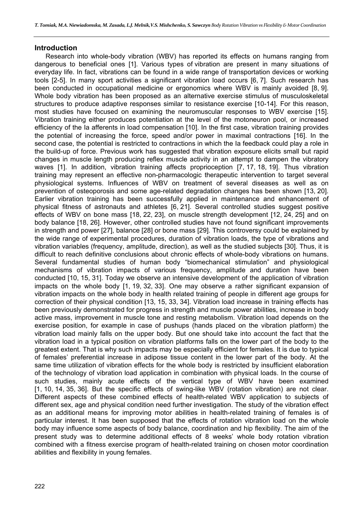#### **Introduction**

Research into whole-body vibration (WBV) has reported its effects on humans ranging from dangerous to beneficial ones [1]. Various types of vibration are present in many situations of everyday life. In fact, vibrations can be found in a wide range of transportation devices or working tools [2-5]. In many sport activities a significant vibration load occurs [6, 7]. Such research has been conducted in occupational medicine or ergonomics where WBV is mainly avoided [8, 9]. Whole body vibration has been proposed as an alternative exercise stimulus of musculoskeletal structures to produce adaptive responses similar to resistance exercise [10-14]. For this reason, most studies have focused on examining the neuromuscular responses to WBV exercise [15]. Vibration training either produces potentiation at the level of the motoneuron pool, or increased efficiency of the Ia afferents in load compensation [10]. In the first case, vibration training provides the potential of increasing the force, speed and/or power in maximal contractions [16]. In the second case, the potential is restricted to contractions in which the Ia feedback could play a role in the build-up of force. Previous work has suggested that vibration exposure elicits small but rapid changes in muscle length producing reflex muscle activity in an attempt to dampen the vibratory waves [1]. In addition, vibration training affects proprioception [7, 17, 18, 19]. Thus vibration training may represent an effective non-pharmacologic therapeutic intervention to target several physiological systems. Influences of WBV on treatment of several diseases as well as on prevention of osteoporosis and some age-related degradation changes has been shown [13, 20]. Earlier vibration training has been successfully applied in maintenance and enhancement of physical fitness of astronauts and athletes [6, 21]. Several controlled studies suggest positive effects of WBV on bone mass [18, 22, 23], on muscle strength development [12, 24, 25] and on body balance [18, 26]. However, other controlled studies have not found significant improvements in strength and power [27], balance [28] or bone mass [29]. This controversy could be explained by the wide range of experimental procedures, duration of vibration loads, the type of vibrations and vibration variables (frequency, amplitude, direction), as well as the studied subjects [30]. Thus, it is difficult to reach definitive conclusions about chronic effects of whole-body vibrations on humans. Several fundamental studies of human body "biomechanical stimulation" and physiological mechanisms of vibration impacts of various frequency, amplitude and duration have been conducted [10, 15, 31]. Today we observe an intensive development of the application of vibration impacts on the whole body [1, 19, 32, 33]. One may observe a rather significant expansion of vibration impacts on the whole body in health related training of people in different age groups for correction of their physical condition [13, 15, 33, 34]. Vibration load increase in training effects has been previously demonstrated for progress in strength and muscle power abilities, increase in body active mass, improvement in muscle tone and resting metabolism. Vibration load depends on the exercise position, for example in case of pushups (hands placed on the vibration platform) the vibration load mainly falls on the upper body. But one should take into account the fact that the vibration load in a typical position on vibration platforms falls on the lower part of the body to the greatest extent. That is why such impacts may be especially efficient for females. It is due to typical of females' preferential increase in adipose tissue content in the lower part of the body. At the same time utilization of vibration effects for the whole body is restricted by insufficient elaboration of the technology of vibration load application in combination with physical loads. In the course of such studies, mainly acute effects of the vertical type of WBV have been examined [1, 10, 14, 35, 36]. But the specific effects of swing-like WBV (rotation vibration) are not clear. Different aspects of these combined effects of health-related WBV application to subjects of different sex, age and physical condition need further investigation. The study of the vibration effect as an additional means for improving motor abilities in health-related training of females is of particular interest. It has been supposed that the effects of rotation vibration load on the whole body may influence some aspects of body balance, coordination and hip flexibility. The aim of the present study was to determine additional effects of 8 weeks' whole body rotation vibration combined with a fitness exercise program of health-related training on chosen motor coordination abilities and flexibility in young females.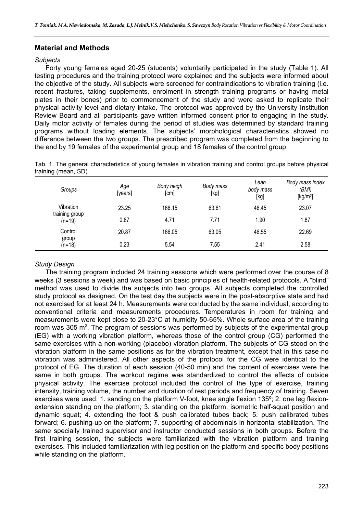# **Material and Methods**

#### *Subjects*

Forty young females aged 20-25 (students) voluntarily participated in the study (Table 1). All testing procedures and the training protocol were explained and the subjects were informed about the objective of the study. All subjects were screened for contraindications to vibration training (i.e. recent fractures, taking supplements, enrolment in strength training programs or having metal plates in their bones) prior to commencement of the study and were asked to replicate their physical activity level and dietary intake. The protocol was approved by the University Institution Review Board and all participants gave written informed consent prior to engaging in the study. Daily motor activity of females during the period of studies was determined by standard training programs without loading elements. The subjects' morphological characteristics showed no difference between the two groups. The prescribed program was completed from the beginning to the end by 19 females of the experimental group and 18 females of the control group.

|  |                     | Tab. 1. The general characteristics of young females in vibration training and control groups before physical |  |  |  |  |  |
|--|---------------------|---------------------------------------------------------------------------------------------------------------|--|--|--|--|--|
|  | training (mean, SD) |                                                                                                               |  |  |  |  |  |

| Groups                     | Age<br>[years] | Body heigh<br>[cm] | Body mass<br>[kg] | Lean<br>body mass<br>[kg] | Body mass index<br>(BMI)<br>[kg/m <sup>2</sup> ] |
|----------------------------|----------------|--------------------|-------------------|---------------------------|--------------------------------------------------|
| Vibration                  | 23.25          | 166.15             | 63.61             | 46.45                     | 23.07                                            |
| training group<br>$(n=19)$ | 0.67           | 4.71               | 7.71              | 1.90                      | 1.87                                             |
| Control                    | 20.87          | 166.05             | 63.05             | 46.55                     | 22.69                                            |
| group<br>(n=18)            | 0.23           | 5.54               | 7.55              | 2.41                      | 2.58                                             |

# *Study Design*

The training program included 24 training sessions which were performed over the course of 8 weeks (3 sessions a week) and was based on basic principles of health-related protocols. A "blind" method was used to divide the subjects into two groups. All subjects completed the controlled study protocol as designed. On the test day the subjects were in the post-absorptive state and had not exercised for at least 24 h. Measurements were conducted by the same individual, according to conventional criteria and measurements procedures. Temperatures in room for training and measurements were kept close to 20-23°C at humidity 50-65%. Whole surface area of the training room was 305 m<sup>2</sup>. The program of sessions was performed by subjects of the experimental group (EG) with a working vibration platform, whereas those of the control group (CG) performed the same exercises with a non-working (placebo) vibration platform. The subjects of CG stood on the vibration platform in the same positions as for the vibration treatment, except that in this case no vibration was administered. All other aspects of the protocol for the CG were identical to the protocol of EG. The duration of each session (40-50 min) and the content of exercises were the same in both groups. The workout regime was standardized to control the effects of outside physical activity. The exercise protocol included the control of the type of exercise, training intensity, training volume, the number and duration of rest periods and frequency of training. Seven exercises were used: 1. sanding on the platform V-foot, knee angle flexion 135º; 2. one leg flexionextension standing on the platform; 3. standing on the platform, isometric half-squat position and dynamic squat; 4. extending the foot & push calibrated tubes back; 5. push calibrated tubes forward; 6. pushing-up on the platform; 7. supporting of abdominals in horizontal stabilization. The same specially trained supervisor and instructor conducted sessions in both groups. Before the first training session, the subjects were familiarized with the vibration platform and training exercises. This included familiarization with leg position on the platform and specific body positions while standing on the platform.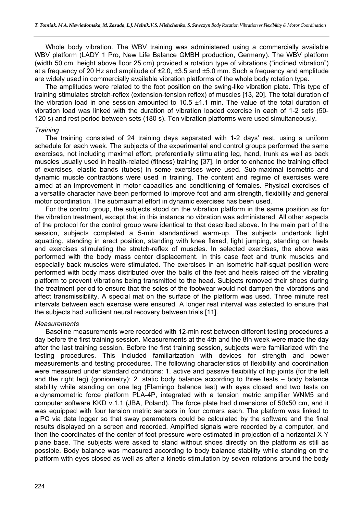Whole body vibration. The WBV training was administered using a commercially available WBV platform (LADY 1 Pro, New Life Balance GMBH production, Germany). The WBV platform (width 50 cm, height above floor 25 cm) provided a rotation type of vibrations ("inclined vibration") at a frequency of 20 Hz and amplitude of  $\pm 2.0$ ,  $\pm 3.5$  and  $\pm 5.0$  mm. Such a frequency and amplitude are widely used in commercially available vibration platforms of the whole body rotation type.

The amplitudes were related to the foot position on the swing-like vibration plate. This type of training stimulates stretch-reflex (extension-tension reflex) of muscles [13, 20]. The total duration of the vibration load in one session amounted to 10.5 ±1.1 min. The value of the total duration of vibration load was linked with the duration of vibration loaded exercise in each of 1-2 sets (50- 120 s) and rest period between sets (180 s). Ten vibration platforms were used simultaneously.

#### *Training*

The training consisted of 24 training days separated with 1-2 days' rest, using a uniform schedule for each week. The subjects of the experimental and control groups performed the same exercises, not including maximal effort, preferentially stimulating leg, hand, trunk as well as back muscles usually used in health-related (fitness) training [37]. In order to enhance the training effect of exercises, elastic bands (tubes) in some exercises were used. Sub-maximal isometric and dynamic muscle contractions were used in training. The content and regime of exercises were aimed at an improvement in motor capacities and conditioning of females. Physical exercises of a versatile character have been performed to improve foot and arm strength, flexibility and general motor coordination. The submaximal effort in dynamic exercises has been used.

For the control group, the subjects stood on the vibration platform in the same position as for the vibration treatment, except that in this instance no vibration was administered. All other aspects of the protocol for the control group were identical to that described above. In the main part of the session, subjects completed a 5-min standardized warm-up. The subjects undertook light squatting, standing in erect position, standing with knee flexed, light jumping, standing on heels and exercises stimulating the stretch-reflex of muscles. In selected exercises, the above was performed with the body mass center displacement. In this case feet and trunk muscles and especially back muscles were stimulated. The exercises in an isometric half-squat position were performed with body mass distributed over the balls of the feet and heels raised off the vibrating platform to prevent vibrations being transmitted to the head. Subjects removed their shoes during the treatment period to ensure that the soles of the footwear would not dampen the vibrations and affect transmissibility. A special mat on the surface of the platform was used. Three minute rest intervals between each exercise were ensured. A longer rest interval was selected to ensure that the subjects had sufficient neural recovery between trials [11].

#### *Measurements*

Baseline measurements were recorded with 12-min rest between different testing procedures a day before the first training session. Measurements at the 4th and the 8th week were made the day after the last training session. Before the first training session, subjects were familiarized with the testing procedures. This included familiarization with devices for strength and power measurements and testing procedures. The following characteristics of flexibility and coordination were measured under standard conditions: 1. active and passive flexibility of hip joints (for the left and the right leg) (goniometry); 2. static body balance according to three tests – body balance stability while standing on one leg (Flamingo balance test) with eyes closed and two tests on a dynamometric force platform PLA-4P, integrated with a tension metric amplifier WNM5 and computer software KKD v.1.1 (JBA, Poland). The force plate had dimensions of 50x50 cm, and it was equipped with four tension metric sensors in four corners each. The platform was linked to a PC via data logger so that sway parameters could be calculated by the software and the final results displayed on a screen and recorded. Amplified signals were recorded by a computer, and then the coordinates of the center of foot pressure were estimated in projection of a horizontal X-Y plane base. The subjects were asked to stand without shoes directly on the platform as still as possible. Body balance was measured according to body balance stability while standing on the platform with eyes closed as well as after a kinetic stimulation by seven rotations around the body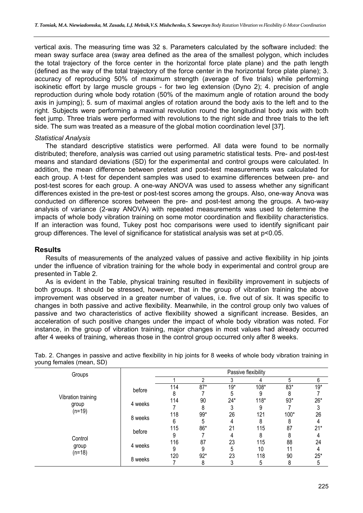vertical axis. The measuring time was 32 s. Parameters calculated by the software included: the mean sway surface area (sway area defined as the area of the smallest polygon, which includes the total trajectory of the force center in the horizontal force plate plane) and the path length (defined as the way of the total trajectory of the force center in the horizontal force plate plane); 3. accuracy of reproducing 50% of maximum strength (average of five trials) while performing isokinetic effort by large muscle groups - for two leg extension (Dyno 2); 4. precision of angle reproduction during whole body rotation (50% of the maximum angle of rotation around the body axis in jumping); 5. sum of maximal angles of rotation around the body axis to the left and to the right. Subjects were performing a maximal revolution round the longitudinal body axis with both feet jump. Three trials were performed with revolutions to the right side and three trials to the left side. The sum was treated as a measure of the global motion coordination level [37].

#### *Statistical Analysis*

The standard descriptive statistics were performed. All data were found to be normally distributed; therefore, analysis was carried out using parametric statistical tests. Pre- and post-test means and standard deviations (SD) for the experimental and control groups were calculated. In addition, the mean difference between pretest and post-test measurements was calculated for each group. A t-test for dependent samples was used to examine differences between pre- and post-test scores for each group. A one-way ANOVA was used to assess whether any significant differences existed in the pre-test or post-test scores among the groups. Also, one-way Anova was conducted on difference scores between the pre- and post-test among the groups. A two-way analysis of variance (2-way ANOVA) with repeated measurements was used to determine the impacts of whole body vibration training on some motor coordination and flexibility characteristics. If an interaction was found, Tukey post hoc comparisons were used to identify significant pair group differences. The level of significance for statistical analysis was set at p<0.05.

### **Results**

Results of measurements of the analyzed values of passive and active flexibility in hip joints under the influence of vibration training for the whole body in experimental and control group are presented in Table 2.

As is evident in the Table, physical training resulted in flexibility improvement in subjects of both groups. It should be stressed, however, that in the group of vibration training the above improvement was observed in a greater number of values, i.e. five out of six. It was specific to changes in both passive and active flexibility. Meanwhile, in the control group only two values of passive and two characteristics of active flexibility showed a significant increase. Besides, an acceleration of such positive changes under the impact of whole body vibration was noted. For instance, in the group of vibration training, major changes in most values had already occurred after 4 weeks of training, whereas those in the control group occurred only after 8 weeks.

| Groups             |         | Passive flexibility |       |       |        |       |       |  |  |  |
|--------------------|---------|---------------------|-------|-------|--------|-------|-------|--|--|--|
|                    |         |                     | ↑     | 3     | 4      | 5     | 6     |  |  |  |
|                    |         | 114                 | $87*$ | $19*$ | 108*   | $83*$ | $19*$ |  |  |  |
|                    | before  | 8                   |       | 5     | 9      | 8     |       |  |  |  |
| Vibration training | 4 weeks | 114                 | 90    | $24*$ | $118*$ | $93*$ | $26*$ |  |  |  |
| group              |         |                     | 8     |       | 9      |       | ົ     |  |  |  |
| $(n=19)$           | 8 weeks | 118                 | 99*   | 26    | 121    | 100*  | 26    |  |  |  |
|                    |         | 6                   | 5     | 4     |        | 8     |       |  |  |  |
|                    | before  | 115                 | 86*   | 21    | 115    | 87    | $21*$ |  |  |  |
|                    |         | 9                   |       | 4     | 8      | 8     |       |  |  |  |
| Control            |         | 116                 | 87    | 23    | 115    | 88    | 24    |  |  |  |
| group              | 4 weeks | 9                   | 9     | 5     | 10     | 11    |       |  |  |  |
| $(n=18)$           |         | 120                 | $92*$ | 23    | 118    | 90    | $25*$ |  |  |  |
|                    | 8 weeks |                     | 8     | 3     | b      | 8     | 5     |  |  |  |

Tab. 2. Changes in passive and active flexibility in hip joints for 8 weeks of whole body vibration training in young females (mean, SD)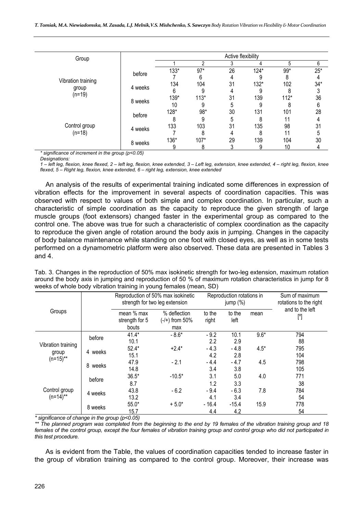| Group              |         | Active flexibility |        |    |        |        |       |  |  |  |
|--------------------|---------|--------------------|--------|----|--------|--------|-------|--|--|--|
|                    |         |                    | ↑      | 3  | 4      | 5      | 6     |  |  |  |
|                    | before  | 133*               | $97*$  | 26 | 124*   | 99*    | $25*$ |  |  |  |
|                    |         |                    | 6      | 4  | 9      | 8      |       |  |  |  |
| Vibration training | 4 weeks | 134                | 104    | 31 | $132*$ | 102    | $34*$ |  |  |  |
| group              |         | 6                  | 9      |    |        |        | 3     |  |  |  |
| $(n=19)$           |         | 139*               | $113*$ | 31 | 139    | $112*$ | 36    |  |  |  |
|                    | 8 weeks | 10                 | 9      | 5  |        |        | 6     |  |  |  |
|                    | before  | 128*               | 98*    | 30 | 131    | 101    | 28    |  |  |  |
|                    |         | 8                  | 9      | 5  | 8      | 11     |       |  |  |  |
| Control group      |         | 133                | 103    | 31 | 135    | 98     | 31    |  |  |  |
| $(n=18)$           | 4 weeks |                    | 8      | 4  | 8      | 11     | 5     |  |  |  |
|                    |         | 136*               | $107*$ | 29 | 139    | 104    | 30    |  |  |  |
|                    | 8 weeks | 9                  | 8      | 3  | 9      | 10     |       |  |  |  |

*\* significance of increment in the group (p<0.05)* 

*Designations:* 

*1 – left leg, flexion, knee flexed, 2 – left leg, flexion, knee extended, 3 – Left leg, extension, knee extended, 4 – right leg, flexion, knee flexed, 5 – Right leg, flexion, knee extended, 6 – right leg, extension, knee extended*

An analysis of the results of experimental training indicated some differences in expression of vibration effects for the improvement in several aspects of coordination capacities. This was observed with respect to values of both simple and complex coordination. In particular, such a characteristic of simple coordination as the capacity to reproduce the given strength of large muscle groups (foot extensors) changed faster in the experimental group as compared to the control one. The above was true for such a characteristic of complex coordination as the capacity to reproduce the given angle of rotation around the body axis in jumping. Changes in the capacity of body balance maintenance while standing on one foot with closed eyes, as well as in some tests performed on a dynamometric platform were also observed. These data are presented in Tables 3 and 4.

Tab. 3. Changes in the reproduction of 50% max isokinetic strength for two-leg extension, maximum rotation around the body axis in jumping and reproduction of 50 % of maximum rotation characteristics in jump for 8 weeks of whole body vibration training in young females (mean, SD)

|                              |            |                                       | Reproduction of 50% max isokinetic<br>strength for two leg extension |                 | Reproduction rotations in<br>jump $(\%)$ | Sum of maximum<br>rotations to the right |                        |
|------------------------------|------------|---------------------------------------|----------------------------------------------------------------------|-----------------|------------------------------------------|------------------------------------------|------------------------|
| Groups                       |            | mean % max<br>strength for 5<br>bouts | % deflection<br>$(-/+)$ from 50%<br>max                              | to the<br>right | to the<br>left                           | mean                                     | and to the left<br>[°] |
|                              | before     | $41.4*$<br>10.1                       | $-8.6*$                                                              | $-9.2$<br>2.2   | 10.1<br>2.9                              | $9.6*$                                   | 794<br>88              |
| Vibration training<br>group  | 4 weeks    | $52.4*$<br>15.1                       | $+2.4*$                                                              | $-4.3$<br>4.2   | - 4.8<br>2.8                             | $4.5*$                                   | 795<br>104             |
| $(n=15)$ **                  | 8<br>weeks | 47.9<br>14.8                          | $-2.1$                                                               | $-4.4$<br>3.4   | - 4.7<br>3.8                             | 4.5                                      | 798<br>105             |
|                              | before     | $36.5*$<br>8.7                        | $-10.5*$                                                             | 3.1<br>1.2      | 5.0<br>3.3                               | 4.0                                      | 771<br>38              |
| Control group<br>$(n=14)$ ** | 4 weeks    | 43.8<br>13.2                          | $-6.2$                                                               | $-9.4$<br>4.1   | $-6.3$<br>3.4                            | 7.8                                      | 784<br>54              |
|                              | 8 weeks    | $55.0*$<br>15.7                       | $+5.0*$                                                              | $-16.4$<br>4.4  | $-15.4$<br>4.2                           | 15.9                                     | 778<br>54              |

*\* significance of change in the group (p<0.05)* 

*\*\* The planned program was completed from the beginning to the end by 19 females of the vibration training group and 18 females of the control group, except the four females of vibration training group and control group who did not participated in this test procedure.*

As is evident from the Table, the values of coordination capacities tended to increase faster in the group of vibration training as compared to the control group. Moreover, their increase was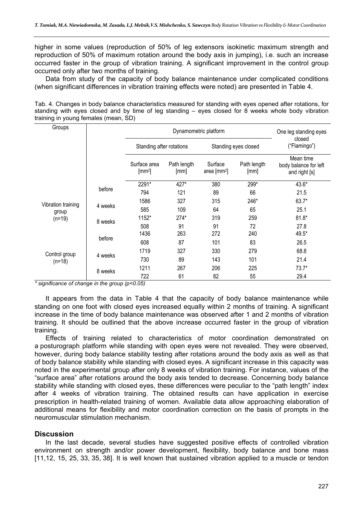higher in some values (reproduction of 50% of leg extensors isokinetic maximum strength and reproduction of 50% of maximum rotation around the body axis in jumping), i.e. such an increase occurred faster in the group of vibration training. A significant improvement in the control group occurred only after two months of training.

Data from study of the capacity of body balance maintenance under complicated conditions (when significant differences in vibration training effects were noted) are presented in Table 4.

Tab. 4. Changes in body balance characteristics measured for standing with eyes opened after rotations, for standing with eyes closed and by time of leg standing – eyes closed for 8 weeks whole body vibration training in young females (mean, SD)

| Groups             |         |                                | One leg standing eyes<br>closed |                                |                      |                                                     |
|--------------------|---------|--------------------------------|---------------------------------|--------------------------------|----------------------|-----------------------------------------------------|
|                    |         | Standing after rotations       |                                 |                                | Standing eyes closed | ("Flamingo")                                        |
|                    |         | Surface area<br>$\text{[mm2]}$ | Path length<br>[mm]             | Surface<br>area $\text{[mm2]}$ | Path length<br>[mm]  | Mean time<br>body balance for left<br>and right [s] |
|                    |         | 2291*                          | 427*                            | 380                            | 299*                 | 43.6*                                               |
|                    | before  | 794                            | 121                             | 89                             | 66                   | 21.5                                                |
| Vibration training |         | 1586                           | 327                             | 315                            | 246*                 | $63.7*$                                             |
| group              | 4 weeks | 585                            | 109                             | 64                             | 65                   | 25.1                                                |
| $(n=19)$           | 8 weeks | 1152*                          | $274*$                          | 319                            | 259                  | $81.8*$                                             |
|                    |         | 508<br>1436                    | 91<br>263                       | 91<br>272                      | 72<br>240            | 27.8<br>49.5*                                       |
|                    | before  | 608                            | 87                              | 101                            | 83                   | 26.5                                                |
| Control group      |         | 1719                           | 327                             | 330                            | 279                  | 68.8                                                |
| $(n=18)$           | 4 weeks | 730                            | 89                              | 143                            | 101                  | 21.4                                                |
|                    | 8 weeks | 1211                           | 267                             | 206                            | 225                  | $73.7*$                                             |
|                    |         | 722                            | 61                              | 82                             | 55                   | 29.4                                                |

*\* significance of change in the group (p<0.05)* 

It appears from the data in Table 4 that the capacity of body balance maintenance while standing on one foot with closed eyes increased equally within 2 months of training. A significant increase in the time of body balance maintenance was observed after 1 and 2 months of vibration training. It should be outlined that the above increase occurred faster in the group of vibration training.

Effects of training related to characteristics of motor coordination demonstrated on a posturograph platform while standing with open eyes were not revealed. They were observed, however, during body balance stability testing after rotations around the body axis as well as that of body balance stability while standing with closed eyes. A significant increase in this capacity was noted in the experimental group after only 8 weeks of vibration training. For instance, values of the "surface area" after rotations around the body axis tended to decrease. Concerning body balance stability while standing with closed eyes, these differences were peculiar to the "path length" index after 4 weeks of vibration training. The obtained results can have application in exercise prescription in health-related training of women. Available data allow approaching elaboration of additional means for flexibility and motor coordination correction on the basis of prompts in the neuromuscular stimulation mechanism.

# **Discussion**

In the last decade, several studies have suggested positive effects of controlled vibration environment on strength and/or power development, flexibility, body balance and bone mass [11,12, 15, 25, 33, 35, 38]. It is well known that sustained vibration applied to a muscle or tendon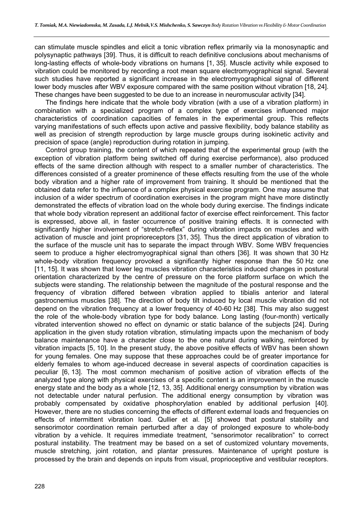can stimulate muscle spindles and elicit a tonic vibration reflex primarily via Ia monosynaptic and polysynaptic pathways [39]. Thus, it is difficult to reach definitive conclusions about mechanisms of long-lasting effects of whole-body vibrations on humans [1, 35]. Muscle activity while exposed to vibration could be monitored by recording a root mean square electromyographical signal. Several such studies have reported a significant increase in the electromyographical signal of different lower body muscles after WBV exposure compared with the same position without vibration [18, 24]. These changes have been suggested to be due to an increase in neuromuscular activity [34].

The findings here indicate that the whole body vibration (with a use of a vibration platform) in combination with a specialized program of a complex type of exercises influenced major characteristics of coordination capacities of females in the experimental group. This reflects varying manifestations of such effects upon active and passive flexibility, body balance stability as well as precision of strength reproduction by large muscle groups during isokinetic activity and precision of space (angle) reproduction during rotation in jumping.

Control group training, the content of which repeated that of the experimental group (with the exception of vibration platform being switched off during exercise performance), also produced effects of the same direction although with respect to a smaller number of characteristics. The differences consisted of a greater prominence of these effects resulting from the use of the whole body vibration and a higher rate of improvement from training. It should be mentioned that the obtained data refer to the influence of a complex physical exercise program. One may assume that inclusion of a wider spectrum of coordination exercises in the program might have more distinctly demonstrated the effects of vibration load on the whole body during exercise. The findings indicate that whole body vibration represent an additional factor of exercise effect reinforcement. This factor is expressed, above all, in faster occurrence of positive training effects. It is connected with significantly higher involvement of "stretch-reflex" during vibration impacts on muscles and with activation of muscle and joint proprioreceptors [31, 35]. Thus the direct application of vibration to the surface of the muscle unit has to separate the impact through WBV. Some WBV frequencies seem to produce a higher electromyographical signal than others [36]. It was shown that 30 Hz whole-body vibration frequency provoked a significantly higher response than the 50 Hz one [11, 15]. It was shown that lower leg muscles vibration characteristics induced changes in postural orientation characterized by the centre of pressure on the force platform surface on which the subjects were standing. The relationship between the magnitude of the postural response and the frequency of vibration differed between vibration applied to tibialis anterior and lateral gastrocnemius muscles [38]. The direction of body tilt induced by local muscle vibration did not depend on the vibration frequency at a lower frequency of 40-60 Hz [38]. This may also suggest the role of the whole-body vibration type for body balance. Long lasting (four-month) vertically vibrated intervention showed no effect on dynamic or static balance of the subjects [24]. During application in the given study rotation vibration, stimulating impacts upon the mechanism of body balance maintenance have a character close to the one natural during walking, reinforced by vibration impacts [5, 10]. In the present study, the above positive effects of WBV has been shown for young females. One may suppose that these approaches could be of greater importance for elderly females to whom age-induced decrease in several aspects of coordination capacities is peculiar [6, 13]. The most common mechanism of positive action of vibration effects of the analyzed type along with physical exercises of a specific content is an improvement in the muscle energy state and the body as a whole [12, 13, 35]. Additional energy consumption by vibration was not detectable under natural perfusion. The additional energy consumption by vibration was probably compensated by oxidative phosphorylation enabled by additional perfusion [40]. However, there are no studies concerning the effects of different external loads and frequencies on effects of intermittent vibration load. Qullier et al. [5] showed that postural stability and sensorimotor coordination remain perturbed after a day of prolonged exposure to whole-body vibration by a vehicle. It requires immediate treatment, "sensorimotor recalibration" to correct postural instability. The treatment may be based on a set of customized voluntary movements, muscle stretching, joint rotation, and plantar pressures. Maintenance of upright posture is processed by the brain and depends on inputs from visual, proprioceptive and vestibular receptors.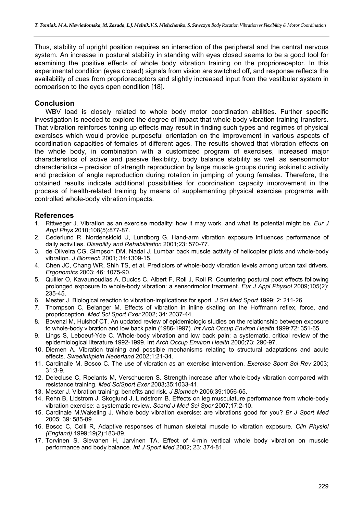Thus, stability of upright position requires an interaction of the peripheral and the central nervous system. An increase in postural stability in standing with eyes closed seems to be a good tool for examining the positive effects of whole body vibration training on the proprioreceptor. In this experimental condition (eyes closed) signals from vision are switched off, and response reflects the availability of cues from proprioreceptors and slightly increased input from the vestibular system in comparison to the eyes open condition [18].

# **Conclusion**

WBV load is closely related to whole body motor coordination abilities. Further specific investigation is needed to explore the degree of impact that whole body vibration training transfers. That vibration reinforces toning up effects may result in finding such types and regimes of physical exercises which would provide purposeful orientation on the improvement in various aspects of coordination capacities of females of different ages. The results showed that vibration effects on the whole body, in combination with a customized program of exercises, increased major characteristics of active and passive flexibility, body balance stability as well as sensorimotor characteristics – precision of strength reproduction by large muscle groups during isokinetic activity and precision of angle reproduction during rotation in jumping of young females. Therefore, the obtained results indicate additional possibilities for coordination capacity improvement in the process of health-related training by means of supplementing physical exercise programs with controlled whole-body vibration impacts.

### **References**

- 1. Rittweger J. Vibration as an exercise modality: how it may work, and what its potential might be. *Eur J Appl Phys* 2010;108(5):877-87.
- 2. Cederlund R, Nordenskiold U, Lundborg G. Hand-arm vibration exposure influences performance of daily activities. *Disability and Rehabilitation* 2001;23: 570-77.
- 3. de Oliveira CG, Simpson DM, Nadal J. Lumbar back muscle activity of helicopter pilots and whole-body vibration. *J Biomech* 2001; 34:1309-15.
- 4. Chen JC, Chang WR, Shih TS, et al. Predictors of whole-body vibration levels among urban taxi drivers. *Ergonomics* 2003; 46: 1075-90.
- 5. Qullier O, Kavaunoudias A, Duclos C, Albert F, Roll J, Roll R. Countering postural post effects following prolonged exposure to whole-body vibration: a sensorimotor treatment. *Eur J Appl Physiol* 2009;105(2): 235-45.
- 6. Mester J. Biological reaction to vibration-implications for sport. *J Sci Med Sport* 1999; 2: 211-26.
- 7. Thompson C, Belanger M. Effects of vibration in inline skating on the Hoffmann reflex, force, and proprioception. *Med Sci Sport Exer* 2002; 34: 2037-44.
- 8. Bovenzi M, Hulshof CT. An updated review of epidemiologic studies on the relationship between exposure to whole-body vibration and low back pain (1986-1997). *Int Arch Occup Environ Health* 1999;72: 351-65.
- 9. Lings S, Leboeuf-Yde C. Whole-body vibration and low back pain: a systematic, critical review of the epidemiological literature 1992-1999. Int *Arch Occup Environ Health* 2000;73: 290-97.
- 10. Diemen A. Vibration training and possible mechanisms relating to structural adaptations and acute effects. *Sweelinkplein Nederland* 2002;1:21-34.
- 11. Cardinalle M, Bosco C. The use of vibration as an exercise intervention. *Exercise Sport Sci Rev* 2003; 31:3-9.
- 12. Delecluse C, Roelants M, Verschueren S. Strength increase after whole-body vibration compared with resistance training. *Med SciSport Exer* 2003;35:1033-41.
- 13. Mester J. Vibration training: benefits and risk. *J Biomech* 2006;39:1056-65.
- 14. Rehn B, Lidstrom J, Skoglund J, Lindstrom B. Effects on leg musculature performance from whole-body vibration exercise: a systematic review. *Scand J Med Sci Spor* 2007;17:2-10.
- 15. Сardinale M,Wakeling J. Whole body vibration exercise: are vibrations good for you? *Br J Sport Med* 2005; 39: 585-89.
- 16. Bosco C, Colli R, Adaptive responses of human skeletal muscle to vibration exposure. *Clin Physiol (England)* 1999;19(2):183-89.
- 17. Torvinen S, Sievanen H, Jarvinen TA. Effect of 4-min vertical whole body vibration on muscle performance and body balance. *Int J Sport Med* 2002; 23: 374-81.